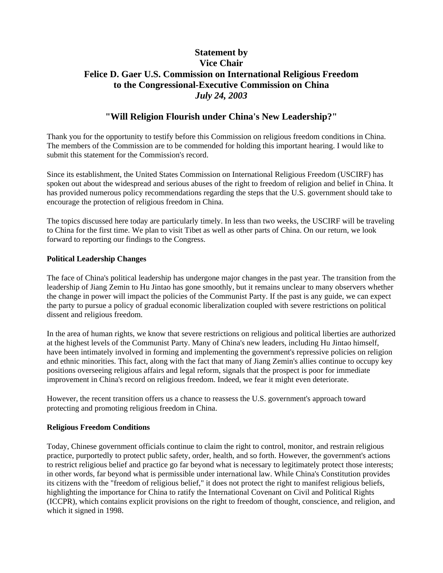# **Statement by Vice Chair Felice D. Gaer U.S. Commission on International Religious Freedom to the Congressional-Executive Commission on China**  *July 24, 2003*

## **"Will Religion Flourish under China's New Leadership?"**

Thank you for the opportunity to testify before this Commission on religious freedom conditions in China. The members of the Commission are to be commended for holding this important hearing. I would like to submit this statement for the Commission's record.

Since its establishment, the United States Commission on International Religious Freedom (USCIRF) has spoken out about the widespread and serious abuses of the right to freedom of religion and belief in China. It has provided numerous policy recommendations regarding the steps that the U.S. government should take to encourage the protection of religious freedom in China.

The topics discussed here today are particularly timely. In less than two weeks, the USCIRF will be traveling to China for the first time. We plan to visit Tibet as well as other parts of China. On our return, we look forward to reporting our findings to the Congress.

#### **Political Leadership Changes**

The face of China's political leadership has undergone major changes in the past year. The transition from the leadership of Jiang Zemin to Hu Jintao has gone smoothly, but it remains unclear to many observers whether the change in power will impact the policies of the Communist Party. If the past is any guide, we can expect the party to pursue a policy of gradual economic liberalization coupled with severe restrictions on political dissent and religious freedom.

In the area of human rights, we know that severe restrictions on religious and political liberties are authorized at the highest levels of the Communist Party. Many of China's new leaders, including Hu Jintao himself, have been intimately involved in forming and implementing the government's repressive policies on religion and ethnic minorities. This fact, along with the fact that many of Jiang Zemin's allies continue to occupy key positions overseeing religious affairs and legal reform, signals that the prospect is poor for immediate improvement in China's record on religious freedom. Indeed, we fear it might even deteriorate.

However, the recent transition offers us a chance to reassess the U.S. government's approach toward protecting and promoting religious freedom in China.

#### **Religious Freedom Conditions**

Today, Chinese government officials continue to claim the right to control, monitor, and restrain religious practice, purportedly to protect public safety, order, health, and so forth. However, the government's actions to restrict religious belief and practice go far beyond what is necessary to legitimately protect those interests; in other words, far beyond what is permissible under international law. While China's Constitution provides its citizens with the "freedom of religious belief," it does not protect the right to manifest religious beliefs, highlighting the importance for China to ratify the International Covenant on Civil and Political Rights (ICCPR), which contains explicit provisions on the right to freedom of thought, conscience, and religion, and which it signed in 1998.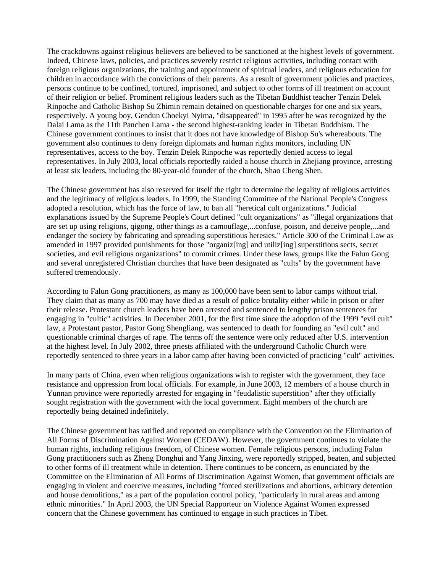The crackdowns against religious believers are believed to be sanctioned at the highest levels of government. Indeed, Chinese laws, policies, and practices severely restrict religious activities, including contact with foreign religious organizations, the training and appointment of spiritual leaders, and religious education for children in accordance with the convictions of their parents. As a result of government policies and practices, persons continue to be confined, tortured, imprisoned, and subject to other forms of ill treatment on account of their religion or belief. Prominent religious leaders such as the Tibetan Buddhist teacher Tenzin Delek Rinpoche and Catholic Bishop Su Zhimin remain detained on questionable charges for one and six years, respectively. A young boy, Gendun Choekyi Nyima, "disappeared" in 1995 after he was recognized by the Dalai Lama as the 11th Panchen Lama - the second highest-ranking leader in Tibetan Buddhism. The Chinese government continues to insist that it does not have knowledge of Bishop Su's whereabouts. The government also continues to deny foreign diplomats and human rights monitors, including UN representatives, access to the boy. Tenzin Delek Rinpoche was reportedly denied access to legal representatives. In July 2003, local officials reportedly raided a house church in Zhejiang province, arresting at least six leaders, including the 80-year-old founder of the church, Shao Cheng Shen.

The Chinese government has also reserved for itself the right to determine the legality of religious activities and the legitimacy of religious leaders. In 1999, the Standing Committee of the National People's Congress adopted a resolution, which has the force of law, to ban all "heretical cult organizations." Judicial explanations issued by the Supreme People's Court defined "cult organizations" as "illegal organizations that are set up using religions, qigong, other things as a camouflage,...confuse, poison, and deceive people,...and endanger the society by fabricating and spreading superstitious heresies." Article 300 of the Criminal Law as amended in 1997 provided punishments for those "organiz[ing] and utiliz[ing] superstitious sects, secret societies, and evil religious organizations" to commit crimes. Under these laws, groups like the Falun Gong and several unregistered Christian churches that have been designated as "cults" by the government have suffered tremendously.

According to Falun Gong practitioners, as many as 100,000 have been sent to labor camps without trial. They claim that as many as 700 may have died as a result of police brutality either while in prison or after their release. Protestant church leaders have been arrested and sentenced to lengthy prison sentences for engaging in "cultic" activities. In December 2001, for the first time since the adoption of the 1999 "evil cult" law, a Protestant pastor, Pastor Gong Shengliang, was sentenced to death for founding an "evil cult" and questionable criminal charges of rape. The terms off the sentence were only reduced after U.S. intervention at the highest level. In July 2002, three priests affiliated with the underground Catholic Church were reportedly sentenced to three years in a labor camp after having been convicted of practicing "cult" activities.

In many parts of China, even when religious organizations wish to register with the government, they face resistance and oppression from local officials. For example, in June 2003, 12 members of a house church in Yunnan province were reportedly arrested for engaging in "feudalistic superstition" after they officially sought registration with the government with the local government. Eight members of the church are reportedly being detained indefinitely.

The Chinese government has ratified and reported on compliance with the Convention on the Elimination of All Forms of Discrimination Against Women (CEDAW). However, the government continues to violate the human rights, including religious freedom, of Chinese women. Female religious persons, including Falun Gong practitioners such as Zheng Donghui and Yang Jinxing, were reportedly stripped, beaten, and subjected to other forms of ill treatment while in detention. There continues to be concern, as enunciated by the Committee on the Elimination of All Forms of Discrimination Against Women, that government officials are engaging in violent and coercive measures, including "forced sterilizations and abortions, arbitrary detention and house demolitions," as a part of the population control policy, "particularly in rural areas and among ethnic minorities." In April 2003, the UN Special Rapporteur on Violence Against Women expressed concern that the Chinese government has continued to engage in such practices in Tibet.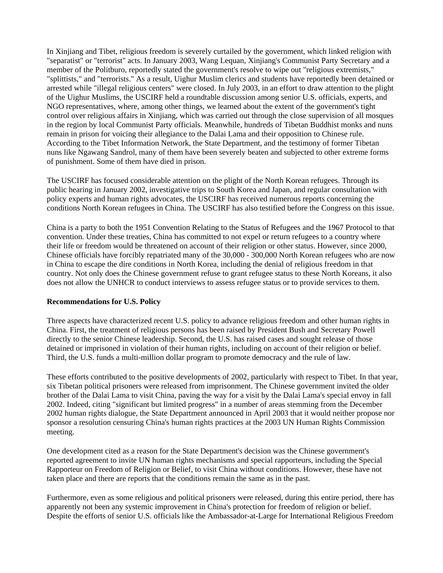In Xinjiang and Tibet, religious freedom is severely curtailed by the government, which linked religion with "separatist" or "terrorist" acts. In January 2003, Wang Lequan, Xinjiang's Communist Party Secretary and a member of the Politburo, reportedly stated the government's resolve to wipe out "religious extremists," "splittists," and "terrorists." As a result, Uighur Muslim clerics and students have reportedly been detained or arrested while "illegal religious centers" were closed. In July 2003, in an effort to draw attention to the plight of the Uighur Muslims, the USCIRF held a roundtable discussion among senior U.S. officials, experts, and NGO representatives, where, among other things, we learned about the extent of the government's tight control over religious affairs in Xinjiang, which was carried out through the close supervision of all mosques in the region by local Communist Party officials. Meanwhile, hundreds of Tibetan Buddhist monks and nuns remain in prison for voicing their allegiance to the Dalai Lama and their opposition to Chinese rule. According to the Tibet Information Network, the State Department, and the testimony of former Tibetan nuns like Ngawang Sandrol, many of them have been severely beaten and subjected to other extreme forms of punishment. Some of them have died in prison.

The USCIRF has focused considerable attention on the plight of the North Korean refugees. Through its public hearing in January 2002, investigative trips to South Korea and Japan, and regular consultation with policy experts and human rights advocates, the USCIRF has received numerous reports concerning the conditions North Korean refugees in China. The USCIRF has also testified before the Congress on this issue.

China is a party to both the 1951 Convention Relating to the Status of Refugees and the 1967 Protocol to that convention. Under these treaties, China has committed to not expel or return refugees to a country where their life or freedom would be threatened on account of their religion or other status. However, since 2000, Chinese officials have forcibly repatriated many of the 30,000 - 300,000 North Korean refugees who are now in China to escape the dire conditions in North Korea, including the denial of religious freedom in that country. Not only does the Chinese government refuse to grant refugee status to these North Koreans, it also does not allow the UNHCR to conduct interviews to assess refugee status or to provide services to them.

#### **Recommendations for U.S. Policy**

Three aspects have characterized recent U.S. policy to advance religious freedom and other human rights in China. First, the treatment of religious persons has been raised by President Bush and Secretary Powell directly to the senior Chinese leadership. Second, the U.S. has raised cases and sought release of those detained or imprisoned in violation of their human rights, including on account of their religion or belief. Third, the U.S. funds a multi-million dollar program to promote democracy and the rule of law.

These efforts contributed to the positive developments of 2002, particularly with respect to Tibet. In that year, six Tibetan political prisoners were released from imprisonment. The Chinese government invited the older brother of the Dalai Lama to visit China, paving the way for a visit by the Dalai Lama's special envoy in fall 2002. Indeed, citing "significant but limited progress" in a number of areas stemming from the December 2002 human rights dialogue, the State Department announced in April 2003 that it would neither propose nor sponsor a resolution censuring China's human rights practices at the 2003 UN Human Rights Commission meeting.

One development cited as a reason for the State Department's decision was the Chinese government's reported agreement to invite UN human rights mechanisms and special rapporteurs, including the Special Rapporteur on Freedom of Religion or Belief, to visit China without conditions. However, these have not taken place and there are reports that the conditions remain the same as in the past.

Furthermore, even as some religious and political prisoners were released, during this entire period, there has apparently not been any systemic improvement in China's protection for freedom of religion or belief. Despite the efforts of senior U.S. officials like the Ambassador-at-Large for International Religious Freedom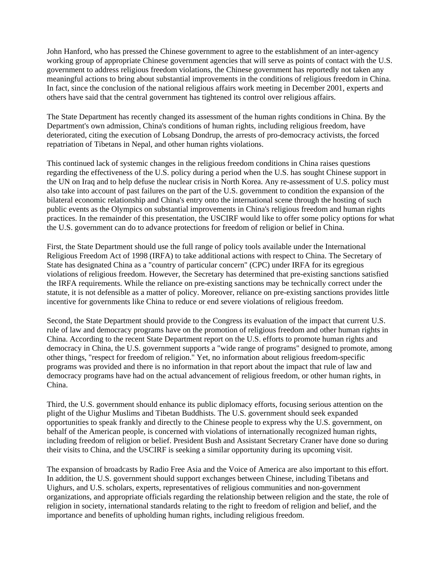John Hanford, who has pressed the Chinese government to agree to the establishment of an inter-agency working group of appropriate Chinese government agencies that will serve as points of contact with the U.S. government to address religious freedom violations, the Chinese government has reportedly not taken any meaningful actions to bring about substantial improvements in the conditions of religious freedom in China. In fact, since the conclusion of the national religious affairs work meeting in December 2001, experts and others have said that the central government has tightened its control over religious affairs.

The State Department has recently changed its assessment of the human rights conditions in China. By the Department's own admission, China's conditions of human rights, including religious freedom, have deteriorated, citing the execution of Lobsang Dondrup, the arrests of pro-democracy activists, the forced repatriation of Tibetans in Nepal, and other human rights violations.

This continued lack of systemic changes in the religious freedom conditions in China raises questions regarding the effectiveness of the U.S. policy during a period when the U.S. has sought Chinese support in the UN on Iraq and to help defuse the nuclear crisis in North Korea. Any re-assessment of U.S. policy must also take into account of past failures on the part of the U.S. government to condition the expansion of the bilateral economic relationship and China's entry onto the international scene through the hosting of such public events as the Olympics on substantial improvements in China's religious freedom and human rights practices. In the remainder of this presentation, the USCIRF would like to offer some policy options for what the U.S. government can do to advance protections for freedom of religion or belief in China.

First, the State Department should use the full range of policy tools available under the International Religious Freedom Act of 1998 (IRFA) to take additional actions with respect to China. The Secretary of State has designated China as a "country of particular concern" (CPC) under IRFA for its egregious violations of religious freedom. However, the Secretary has determined that pre-existing sanctions satisfied the IRFA requirements. While the reliance on pre-existing sanctions may be technically correct under the statute, it is not defensible as a matter of policy. Moreover, reliance on pre-existing sanctions provides little incentive for governments like China to reduce or end severe violations of religious freedom.

Second, the State Department should provide to the Congress its evaluation of the impact that current U.S. rule of law and democracy programs have on the promotion of religious freedom and other human rights in China. According to the recent State Department report on the U.S. efforts to promote human rights and democracy in China, the U.S. government supports a "wide range of programs" designed to promote, among other things, "respect for freedom of religion." Yet, no information about religious freedom-specific programs was provided and there is no information in that report about the impact that rule of law and democracy programs have had on the actual advancement of religious freedom, or other human rights, in China.

Third, the U.S. government should enhance its public diplomacy efforts, focusing serious attention on the plight of the Uighur Muslims and Tibetan Buddhists. The U.S. government should seek expanded opportunities to speak frankly and directly to the Chinese people to express why the U.S. government, on behalf of the American people, is concerned with violations of internationally recognized human rights, including freedom of religion or belief. President Bush and Assistant Secretary Craner have done so during their visits to China, and the USCIRF is seeking a similar opportunity during its upcoming visit.

The expansion of broadcasts by Radio Free Asia and the Voice of America are also important to this effort. In addition, the U.S. government should support exchanges between Chinese, including Tibetans and Uighurs, and U.S. scholars, experts, representatives of religious communities and non-government organizations, and appropriate officials regarding the relationship between religion and the state, the role of religion in society, international standards relating to the right to freedom of religion and belief, and the importance and benefits of upholding human rights, including religious freedom.